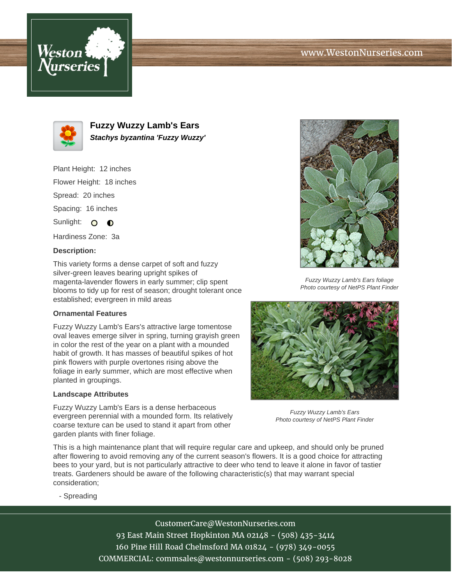# www.WestonNurseries.com





**Fuzzy Wuzzy Lamb's Ears Stachys byzantina 'Fuzzy Wuzzy'**

Plant Height: 12 inches Flower Height: 18 inches Spread: 20 inches Spacing: 16 inches Sunlight: O  $\bullet$ 

Hardiness Zone: 3a

### **Description:**

This variety forms a dense carpet of soft and fuzzy silver-green leaves bearing upright spikes of magenta-lavender flowers in early summer; clip spent blooms to tidy up for rest of season; drought tolerant once established; evergreen in mild areas

#### **Ornamental Features**

Fuzzy Wuzzy Lamb's Ears's attractive large tomentose oval leaves emerge silver in spring, turning grayish green in color the rest of the year on a plant with a mounded habit of growth. It has masses of beautiful spikes of hot pink flowers with purple overtones rising above the foliage in early summer, which are most effective when planted in groupings.

#### **Landscape Attributes**

Fuzzy Wuzzy Lamb's Ears is a dense herbaceous evergreen perennial with a mounded form. Its relatively coarse texture can be used to stand it apart from other garden plants with finer foliage.



Fuzzy Wuzzy Lamb's Ears foliage Photo courtesy of NetPS Plant Finder



Fuzzy Wuzzy Lamb's Ears Photo courtesy of NetPS Plant Finder

This is a high maintenance plant that will require regular care and upkeep, and should only be pruned after flowering to avoid removing any of the current season's flowers. It is a good choice for attracting bees to your yard, but is not particularly attractive to deer who tend to leave it alone in favor of tastier treats. Gardeners should be aware of the following characteristic(s) that may warrant special consideration;

- Spreading

CustomerCare@WestonNurseries.com 93 East Main Street Hopkinton MA 02148 - (508) 435-3414 160 Pine Hill Road Chelmsford MA 01824 - (978) 349-0055 COMMERCIAL: commsales@westonnurseries.com - (508) 293-8028